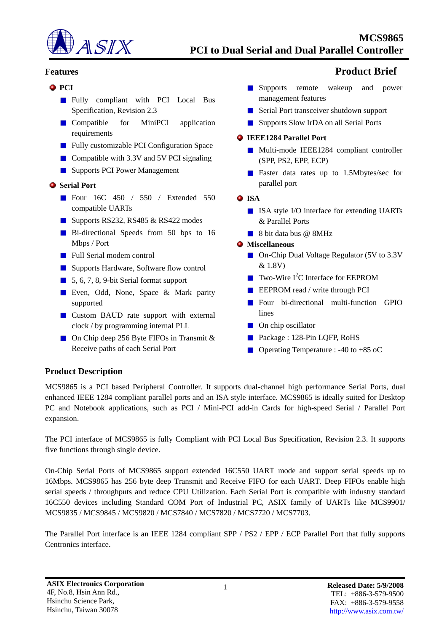

#### **•** PCI

- **Fully** compliant with PCI Local Bus Specification, Revision 2.3
- **Compatible** for MiniPCI application requirements
- **Fully customizable PCI Configuration Space**
- Compatible with  $3.3V$  and  $5V$  PCI signaling
- **Supports PCI Power Management**

### $\bullet$  Serial Port

- Four 16C 450 / 550 / Extended 550 compatible UARTs
- Supports RS232, RS485 & RS422 modes
- Bi-directional Speeds from 50 bps to 16 Mbps / Port
- **Full Serial modem control**
- Supports Hardware, Software flow control
- 5, 6, 7, 8, 9-bit Serial format support
- Even, Odd, None, Space & Mark parity supported
- **Custom BAUD rate support with external** clock / by programming internal PLL
- On Chip deep 256 Byte FIFOs in Transmit  $&$ Receive paths of each Serial Port

# **Features Product Brief**

- **Supports** remote wakeup and power management features
- Serial Port transceiver shutdown support
- Supports Slow IrDA on all Serial Ports

#### **IEEE1284 Parallel Port**

- Multi-mode IEEE1284 compliant controller (SPP, PS2, EPP, ECP)
- **Faster data rates up to 1.5Mbytes/sec for** parallel port
- **O** ISA
	- ISA style I/O interface for extending UARTs & Parallel Ports
	- 8 bit data bus @ 8MHz

#### **Miscellaneous**

- On-Chip Dual Voltage Regulator (5V to 3.3V & 1.8V)
- $\blacksquare$  Two-Wire I<sup>2</sup>C Interface for EEPROM
- **EXECUTE:** EEPROM read / write through PCI
- **Four bi-directional multi-function GPIO** lines
- **On chip oscillator**
- Package : 128-Pin LQFP, RoHS
- **Operating Temperature : -40 to +85 oC**

## **Product Description**

MCS9865 is a PCI based Peripheral Controller. It supports dual-channel high performance Serial Ports, dual enhanced IEEE 1284 compliant parallel ports and an ISA style interface. MCS9865 is ideally suited for Desktop PC and Notebook applications, such as PCI / Mini-PCI add-in Cards for high-speed Serial / Parallel Port expansion.

The PCI interface of MCS9865 is fully Compliant with PCI Local Bus Specification, Revision 2.3. It supports five functions through single device.

On-Chip Serial Ports of MCS9865 support extended 16C550 UART mode and support serial speeds up to 16Mbps. MCS9865 has 256 byte deep Transmit and Receive FIFO for each UART. Deep FIFOs enable high serial speeds / throughputs and reduce CPU Utilization. Each Serial Port is compatible with industry standard 16C550 devices including Standard COM Port of Industrial PC, ASIX family of UARTs like MCS9901/ MCS9835 / MCS9845 / MCS9820 / MCS7840 / MCS7820 / MCS7720 / MCS7703.

The Parallel Port interface is an IEEE 1284 compliant SPP / PS2 / EPP / ECP Parallel Port that fully supports Centronics interface.